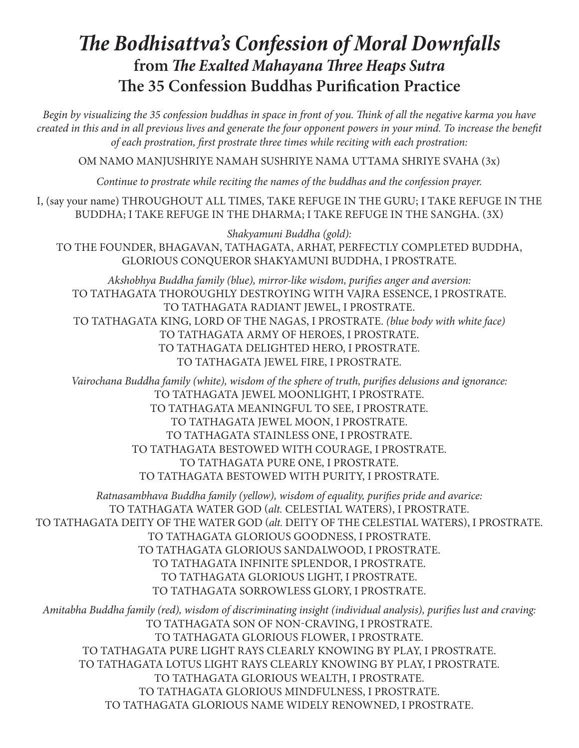## *The Bodhisattva's Confession of Moral Downfalls* **from** *The Exalted Mahayana Three Heaps Sutra* **The 35 Confession Buddhas Purification Practice**

*Begin by visualizing the 35 confession buddhas in space in front of you. Think of all the negative karma you have created in this and in all previous lives and generate the four opponent powers in your mind. To increase the benefit of each prostration, first prostrate three times while reciting with each prostration:*

OM NAMO MANJUSHRIYE NAMAH SUSHRIYE NAMA UTTAMA SHRIYE SVAHA (3x)

*Continue to prostrate while reciting the names of the buddhas and the confession prayer.*

I, (say your name) THROUGHOUT ALL TIMES, TAKE REFUGE IN THE GURU; I TAKE REFUGE IN THE BUDDHA; I TAKE REFUGE IN THE DHARMA; I TAKE REFUGE IN THE SANGHA. (3X)

*Shakyamuni Buddha (gold):*

TO THE FOUNDER, BHAGAVAN, TATHAGATA, ARHAT, PERFECTLY COMPLETED BUDDHA, GLORIOUS CONQUEROR SHAKYAMUNI BUDDHA, I PROSTRATE.

*Akshobhya Buddha family (blue), mirror-like wisdom, purifies anger and aversion:* TO TATHAGATA THOROUGHLY DESTROYING WITH VAJRA ESSENCE, I PROSTRATE. TO TATHAGATA RADIANT JEWEL, I PROSTRATE. TO TATHAGATA KING, LORD OF THE NAGAS, I PROSTRATE. *(blue body with white face)* TO TATHAGATA ARMY OF HEROES, I PROSTRATE. TO TATHAGATA DELIGHTED HERO, I PROSTRATE. TO TATHAGATA JEWEL FIRE, I PROSTRATE.

*Vairochana Buddha family (white), wisdom of the sphere of truth, purifies delusions and ignorance:* TO TATHAGATA JEWEL MOONLIGHT, I PROSTRATE. TO TATHAGATA MEANINGFUL TO SEE, I PROSTRATE. TO TATHAGATA JEWEL MOON, I PROSTRATE. TO TATHAGATA STAINLESS ONE, I PROSTRATE. TO TATHAGATA BESTOWED WITH COURAGE, I PROSTRATE. TO TATHAGATA PURE ONE, I PROSTRATE. TO TATHAGATA BESTOWED WITH PURITY, I PROSTRATE.

*Ratnasambhava Buddha family (yellow), wisdom of equality, purifies pride and avarice:* TO TATHAGATA WATER GOD (*alt.* CELESTIAL WATERS), I PROSTRATE. TO TATHAGATA DEITY OF THE WATER GOD (*alt.* DEITY OF THE CELESTIAL WATERS), I PROSTRATE. TO TATHAGATA GLORIOUS GOODNESS, I PROSTRATE. TO TATHAGATA GLORIOUS SANDALWOOD, I PROSTRATE. TO TATHAGATA INFINITE SPLENDOR, I PROSTRATE. TO TATHAGATA GLORIOUS LIGHT, I PROSTRATE. TO TATHAGATA SORROWLESS GLORY, I PROSTRATE.

*Amitabha Buddha family (red), wisdom of discriminating insight (individual analysis), purifies lust and craving:* TO TATHAGATA SON OF NON-CRAVING, I PROSTRATE. TO TATHAGATA GLORIOUS FLOWER, I PROSTRATE. TO TATHAGATA PURE LIGHT RAYS CLEARLY KNOWING BY PLAY, I PROSTRATE. TO TATHAGATA LOTUS LIGHT RAYS CLEARLY KNOWING BY PLAY, I PROSTRATE. TO TATHAGATA GLORIOUS WEALTH, I PROSTRATE. TO TATHAGATA GLORIOUS MINDFULNESS, I PROSTRATE. TO TATHAGATA GLORIOUS NAME WIDELY RENOWNED, I PROSTRATE.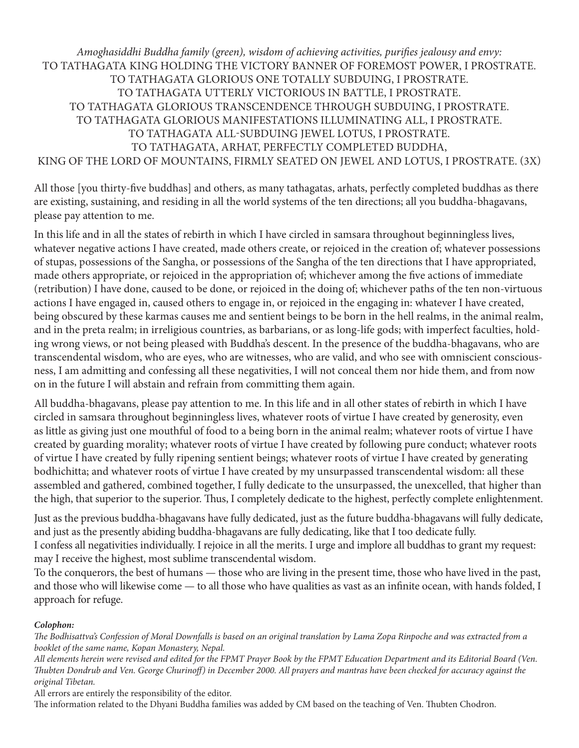*Amoghasiddhi Buddha family (green), wisdom of achieving activities, purifies jealousy and envy:* TO TATHAGATA KING HOLDING THE VICTORY BANNER OF FOREMOST POWER, I PROSTRATE. TO TATHAGATA GLORIOUS ONE TOTALLY SUBDUING, I PROSTRATE. TO TATHAGATA UTTERLY VICTORIOUS IN BATTLE, I PROSTRATE. TO TATHAGATA GLORIOUS TRANSCENDENCE THROUGH SUBDUING, I PROSTRATE. TO TATHAGATA GLORIOUS MANIFESTATIONS ILLUMINATING ALL, I PROSTRATE. TO TATHAGATA ALL-SUBDUING JEWEL LOTUS, I PROSTRATE. TO TATHAGATA, ARHAT, PERFECTLY COMPLETED BUDDHA, KING OF THE LORD OF MOUNTAINS, FIRMLY SEATED ON JEWEL AND LOTUS, I PROSTRATE. (3X)

All those [you thirty-five buddhas] and others, as many tathagatas, arhats, perfectly completed buddhas as there are existing, sustaining, and residing in all the world systems of the ten directions; all you buddha-bhagavans, please pay attention to me.

In this life and in all the states of rebirth in which I have circled in samsara throughout beginningless lives, whatever negative actions I have created, made others create, or rejoiced in the creation of; whatever possessions of stupas, possessions of the Sangha, or possessions of the Sangha of the ten directions that I have appropriated, made others appropriate, or rejoiced in the appropriation of; whichever among the five actions of immediate (retribution) I have done, caused to be done, or rejoiced in the doing of; whichever paths of the ten non-virtuous actions I have engaged in, caused others to engage in, or rejoiced in the engaging in: whatever I have created, being obscured by these karmas causes me and sentient beings to be born in the hell realms, in the animal realm, and in the preta realm; in irreligious countries, as barbarians, or as long-life gods; with imperfect faculties, holding wrong views, or not being pleased with Buddha's descent. In the presence of the buddha-bhagavans, who are transcendental wisdom, who are eyes, who are witnesses, who are valid, and who see with omniscient consciousness, I am admitting and confessing all these negativities, I will not conceal them nor hide them, and from now on in the future I will abstain and refrain from committing them again.

All buddha-bhagavans, please pay attention to me. In this life and in all other states of rebirth in which I have circled in samsara throughout beginningless lives, whatever roots of virtue I have created by generosity, even as little as giving just one mouthful of food to a being born in the animal realm; whatever roots of virtue I have created by guarding morality; whatever roots of virtue I have created by following pure conduct; whatever roots of virtue I have created by fully ripening sentient beings; whatever roots of virtue I have created by generating bodhichitta; and whatever roots of virtue I have created by my unsurpassed transcendental wisdom: all these assembled and gathered, combined together, I fully dedicate to the unsurpassed, the unexcelled, that higher than the high, that superior to the superior. Thus, I completely dedicate to the highest, perfectly complete enlightenment.

Just as the previous buddha-bhagavans have fully dedicated, just as the future buddha-bhagavans will fully dedicate, and just as the presently abiding buddha-bhagavans are fully dedicating, like that I too dedicate fully.

I confess all negativities individually. I rejoice in all the merits. I urge and implore all buddhas to grant my request: may I receive the highest, most sublime transcendental wisdom.

To the conquerors, the best of humans — those who are living in the present time, those who have lived in the past, and those who will likewise come — to all those who have qualities as vast as an infinite ocean, with hands folded, I approach for refuge.

## *Colophon:*

*The Bodhisattva's Confession of Moral Downfalls is based on an original translation by Lama Zopa Rinpoche and was extracted from a booklet of the same name, Kopan Monastery, Nepal.*

*All elements herein were revised and edited for the FPMT Prayer Book by the FPMT Education Department and its Editorial Board (Ven. Thubten Dondrub and Ven. George Churinoff) in December 2000. All prayers and mantras have been checked for accuracy against the original Tibetan.*

All errors are entirely the responsibility of the editor.

The information related to the Dhyani Buddha families was added by CM based on the teaching of Ven. Thubten Chodron.